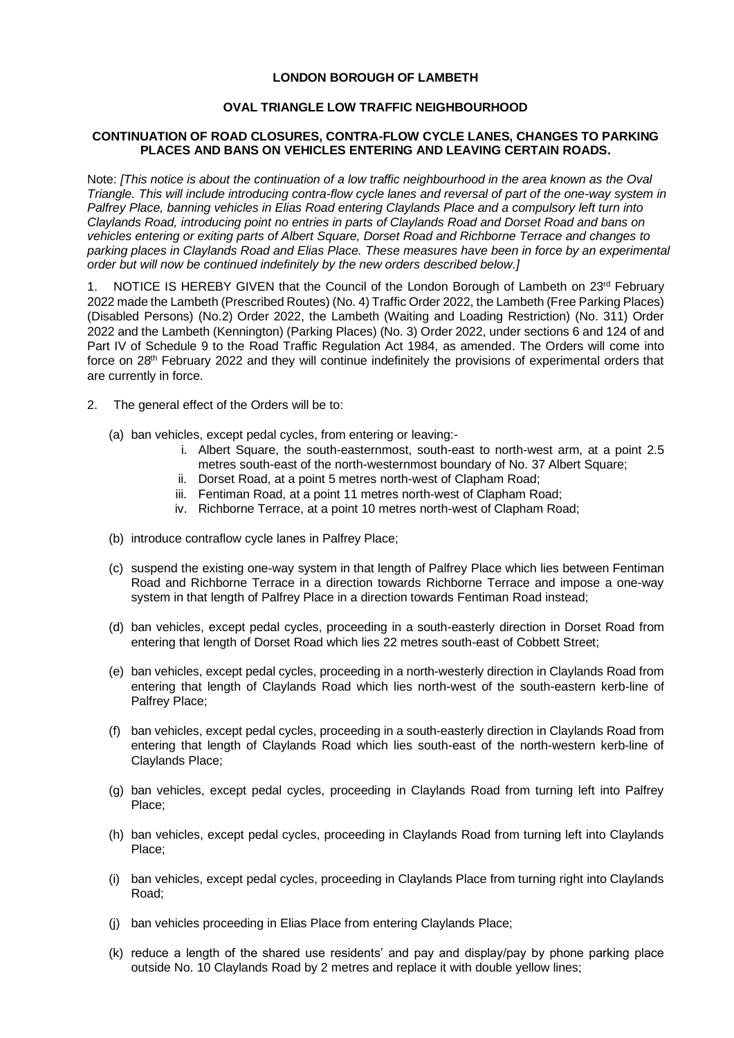## **LONDON BOROUGH OF LAMBETH**

## **OVAL TRIANGLE LOW TRAFFIC NEIGHBOURHOOD**

## **CONTINUATION OF ROAD CLOSURES, CONTRA-FLOW CYCLE LANES, CHANGES TO PARKING PLACES AND BANS ON VEHICLES ENTERING AND LEAVING CERTAIN ROADS.**

Note: *[This notice is about the continuation of a low traffic neighbourhood in the area known as the Oval Triangle. This will include introducing contra-flow cycle lanes and reversal of part of the one-way system in Palfrey Place, banning vehicles in Elias Road entering Claylands Place and a compulsory left turn into Claylands Road, introducing point no entries in parts of Claylands Road and Dorset Road and bans on vehicles entering or exiting parts of Albert Square, Dorset Road and Richborne Terrace and changes to parking places in Claylands Road and Elias Place. These measures have been in force by an experimental order but will now be continued indefinitely by the new orders described below.]*

1. NOTICE IS HEREBY GIVEN that the Council of the London Borough of Lambeth on 23rd February 2022 made the Lambeth (Prescribed Routes) (No. 4) Traffic Order 2022, the Lambeth (Free Parking Places) (Disabled Persons) (No.2) Order 2022, the Lambeth (Waiting and Loading Restriction) (No. 311) Order 2022 and the Lambeth (Kennington) (Parking Places) (No. 3) Order 2022, under sections 6 and 124 of and Part IV of Schedule 9 to the Road Traffic Regulation Act 1984, as amended. The Orders will come into force on 28th February 2022 and they will continue indefinitely the provisions of experimental orders that are currently in force.

- 2. The general effect of the Orders will be to:
	- (a) ban vehicles, except pedal cycles, from entering or leaving:
		- i. Albert Square, the south-easternmost, south-east to north-west arm, at a point 2.5 metres south-east of the north-westernmost boundary of No. 37 Albert Square;
		- ii. Dorset Road, at a point 5 metres north-west of Clapham Road;
		- iii. Fentiman Road, at a point 11 metres north-west of Clapham Road:
		- iv. Richborne Terrace, at a point 10 metres north-west of Clapham Road;
	- (b) introduce contraflow cycle lanes in Palfrey Place;
	- (c) suspend the existing one-way system in that length of Palfrey Place which lies between Fentiman Road and Richborne Terrace in a direction towards Richborne Terrace and impose a one-way system in that length of Palfrey Place in a direction towards Fentiman Road instead;
	- (d) ban vehicles, except pedal cycles, proceeding in a south-easterly direction in Dorset Road from entering that length of Dorset Road which lies 22 metres south-east of Cobbett Street;
	- (e) ban vehicles, except pedal cycles, proceeding in a north-westerly direction in Claylands Road from entering that length of Claylands Road which lies north-west of the south-eastern kerb-line of Palfrey Place;
	- (f) ban vehicles, except pedal cycles, proceeding in a south-easterly direction in Claylands Road from entering that length of Claylands Road which lies south-east of the north-western kerb-line of Claylands Place;
	- (g) ban vehicles, except pedal cycles, proceeding in Claylands Road from turning left into Palfrey Place;
	- (h) ban vehicles, except pedal cycles, proceeding in Claylands Road from turning left into Claylands Place;
	- (i) ban vehicles, except pedal cycles, proceeding in Claylands Place from turning right into Claylands Road;
	- (j) ban vehicles proceeding in Elias Place from entering Claylands Place;
	- (k) reduce a length of the shared use residents' and pay and display/pay by phone parking place outside No. 10 Claylands Road by 2 metres and replace it with double yellow lines;